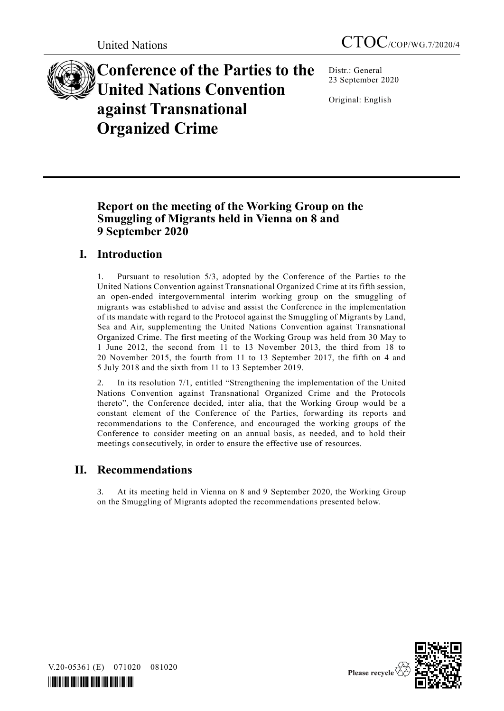

**Conference of the Parties to the United Nations Convention against Transnational Organized Crime**

Distr.: General 23 September 2020

Original: English

# **Report on the meeting of the Working Group on the Smuggling of Migrants held in Vienna on 8 and 9 September 2020**

# **I. Introduction**

1. Pursuant to resolution 5/3, adopted by the Conference of the Parties to the United Nations Convention against Transnational Organized Crime at its fifth session, an open-ended intergovernmental interim working group on the smuggling of migrants was established to advise and assist the Conference in the implementation of its mandate with regard to the Protocol against the Smuggling of Migrants by Land, Sea and Air, supplementing the United Nations Convention against Transnational Organized Crime. The first meeting of the Working Group was held from 30 May to 1 June 2012, the second from 11 to 13 November 2013, the third from 18 to 20 November 2015, the fourth from 11 to 13 September 2017, the fifth on 4 and 5 July 2018 and the sixth from 11 to 13 September 2019.

2. In its resolution 7/1, entitled "Strengthening the implementation of the United Nations Convention against Transnational Organized Crime and the Protocols thereto", the Conference decided, inter alia, that the Working Group would be a constant element of the Conference of the Parties, forwarding its reports and recommendations to the Conference, and encouraged the working groups of the Conference to consider meeting on an annual basis, as needed, and to hold their meetings consecutively, in order to ensure the effective use of resources.

# **II. Recommendations**

3. At its meeting held in Vienna on 8 and 9 September 2020, the Working Group on the Smuggling of Migrants adopted the recommendations presented below.



V.20-05361 (E) 071020 081020

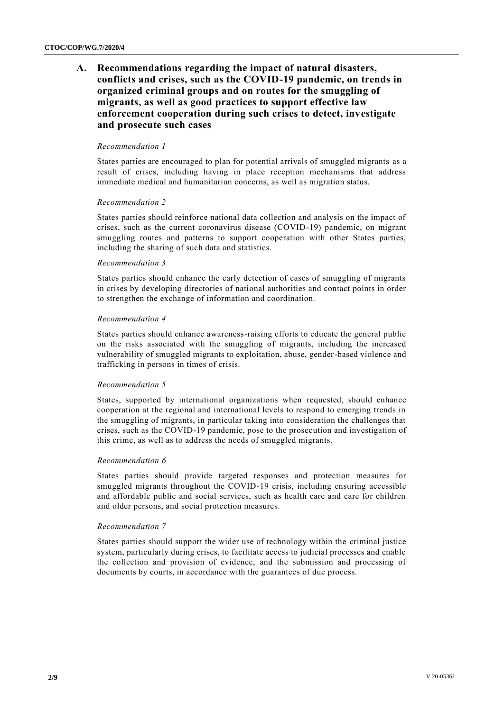## **A. Recommendations regarding the impact of natural disasters, conflicts and crises, such as the COVID-19 pandemic, on trends in organized criminal groups and on routes for the smuggling of migrants, as well as good practices to support effective law enforcement cooperation during such crises to detect, investigate and prosecute such cases**

#### *Recommendation 1*

States parties are encouraged to plan for potential arrivals of smuggled migrants as a result of crises, including having in place reception mechanisms that address immediate medical and humanitarian concerns, as well as migration status.

#### *Recommendation 2*

States parties should reinforce national data collection and analysis on the impact of crises, such as the current coronavirus disease (COVID-19) pandemic, on migrant smuggling routes and patterns to support cooperation with other States parties, including the sharing of such data and statistics.

#### *Recommendation 3*

States parties should enhance the early detection of cases of smuggling of migrants in crises by developing directories of national authorities and contact points in order to strengthen the exchange of information and coordination.

#### *Recommendation 4*

States parties should enhance awareness-raising efforts to educate the general public on the risks associated with the smuggling of migrants, including the increased vulnerability of smuggled migrants to exploitation, abuse, gender-based violence and trafficking in persons in times of crisis.

#### *Recommendation 5*

States, supported by international organizations when requested, should enhance cooperation at the regional and international levels to respond to emerging trends in the smuggling of migrants, in particular taking into consideration the challenges that crises, such as the COVID-19 pandemic, pose to the prosecution and investigation of this crime, as well as to address the needs of smuggled migrants.

#### *Recommendation 6*

States parties should provide targeted responses and protection measures for smuggled migrants throughout the COVID-19 crisis, including ensuring accessible and affordable public and social services, such as health care and care for children and older persons, and social protection measures.

#### *Recommendation 7*

States parties should support the wider use of technology within the criminal justice system, particularly during crises, to facilitate access to judicial processes and enable the collection and provision of evidence, and the submission and processing of documents by courts, in accordance with the guarantees of due process.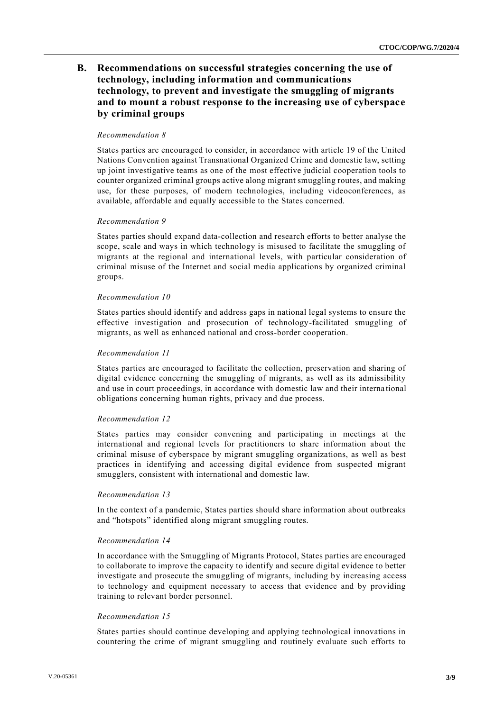## **B. Recommendations on successful strategies concerning the use of technology, including information and communications technology, to prevent and investigate the smuggling of migrants and to mount a robust response to the increasing use of cyberspace by criminal groups**

#### *Recommendation 8*

States parties are encouraged to consider, in accordance with article 19 of the United Nations Convention against Transnational Organized Crime and domestic law, setting up joint investigative teams as one of the most effective judicial cooperation tools to counter organized criminal groups active along migrant smuggling routes, and making use, for these purposes, of modern technologies, including videoconferences, as available, affordable and equally accessible to the States concerned.

#### *Recommendation 9*

States parties should expand data-collection and research efforts to better analyse the scope, scale and ways in which technology is misused to facilitate the smuggling of migrants at the regional and international levels, with particular consideration of criminal misuse of the Internet and social media applications by organized criminal groups.

#### *Recommendation 10*

States parties should identify and address gaps in national legal systems to ensure the effective investigation and prosecution of technology-facilitated smuggling of migrants, as well as enhanced national and cross-border cooperation.

#### *Recommendation 11*

States parties are encouraged to facilitate the collection, preservation and sharing of digital evidence concerning the smuggling of migrants, as well as its admissibility and use in court proceedings, in accordance with domestic law and their interna tional obligations concerning human rights, privacy and due process.

#### *Recommendation 12*

States parties may consider convening and participating in meetings at the international and regional levels for practitioners to share information about the criminal misuse of cyberspace by migrant smuggling organizations, as well as best practices in identifying and accessing digital evidence from suspected migrant smugglers, consistent with international and domestic law.

#### *Recommendation 13*

In the context of a pandemic, States parties should share information about outbreaks and "hotspots" identified along migrant smuggling routes.

#### *Recommendation 14*

In accordance with the Smuggling of Migrants Protocol, States parties are encouraged to collaborate to improve the capacity to identify and secure digital evidence to better investigate and prosecute the smuggling of migrants, including by increasing access to technology and equipment necessary to access that evidence and by providing training to relevant border personnel.

#### *Recommendation 15*

States parties should continue developing and applying technological innovations in countering the crime of migrant smuggling and routinely evaluate such efforts to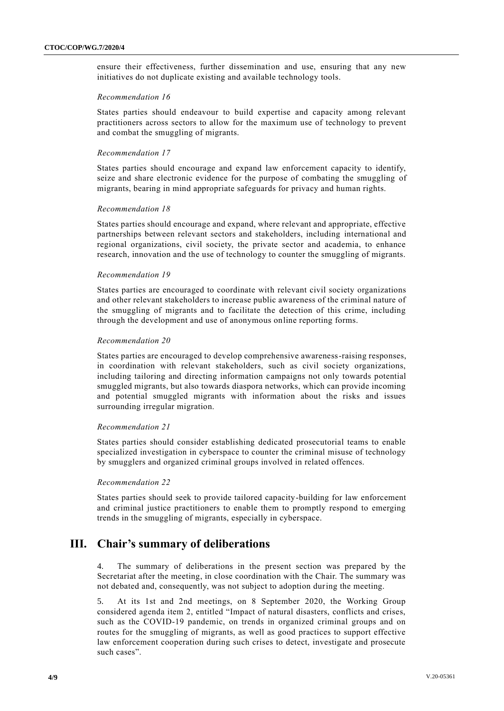ensure their effectiveness, further dissemination and use, ensuring that any new initiatives do not duplicate existing and available technology tools.

#### *Recommendation 16*

States parties should endeavour to build expertise and capacity among relevant practitioners across sectors to allow for the maximum use of technology to prevent and combat the smuggling of migrants.

#### *Recommendation 17*

States parties should encourage and expand law enforcement capacity to identify, seize and share electronic evidence for the purpose of combating the smuggling of migrants, bearing in mind appropriate safeguards for privacy and human rights.

#### *Recommendation 18*

States parties should encourage and expand, where relevant and appropriate, effective partnerships between relevant sectors and stakeholders, including international and regional organizations, civil society, the private sector and academia, to enhance research, innovation and the use of technology to counter the smuggling of migrants.

#### *Recommendation 19*

States parties are encouraged to coordinate with relevant civil society organizations and other relevant stakeholders to increase public awareness of the criminal nature of the smuggling of migrants and to facilitate the detection of this crime, including through the development and use of anonymous online reporting forms.

#### *Recommendation 20*

States parties are encouraged to develop comprehensive awareness-raising responses, in coordination with relevant stakeholders, such as civil society organizations, including tailoring and directing information campaigns not only towards potential smuggled migrants, but also towards diaspora networks, which can provide incoming and potential smuggled migrants with information about the risks and issues surrounding irregular migration.

#### *Recommendation 21*

States parties should consider establishing dedicated prosecutorial teams to enable specialized investigation in cyberspace to counter the criminal misuse of technology by smugglers and organized criminal groups involved in related offences.

#### *Recommendation 22*

States parties should seek to provide tailored capacity-building for law enforcement and criminal justice practitioners to enable them to promptly respond to emerging trends in the smuggling of migrants, especially in cyberspace.

## **III. Chair's summary of deliberations**

4. The summary of deliberations in the present section was prepared by the Secretariat after the meeting, in close coordination with the Chair. The summary was not debated and, consequently, was not subject to adoption during the meeting.

5. At its 1st and 2nd meetings, on 8 September 2020, the Working Group considered agenda item 2, entitled "Impact of natural disasters, conflicts and crises, such as the COVID-19 pandemic, on trends in organized criminal groups and on routes for the smuggling of migrants, as well as good practices to support effective law enforcement cooperation during such crises to detect, investigate and prosecute such cases".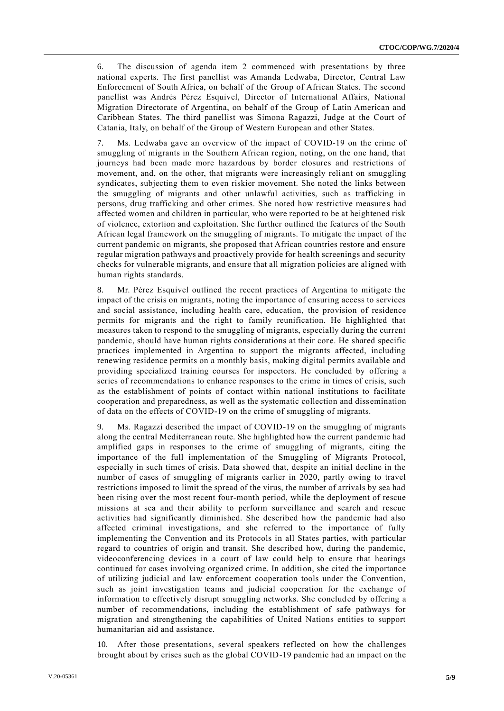6. The discussion of agenda item 2 commenced with presentations by three national experts. The first panellist was Amanda Ledwaba, Director, Central Law Enforcement of South Africa, on behalf of the Group of African States. The second panellist was Andrés Pérez Esquivel, Director of International Affairs, National Migration Directorate of Argentina, on behalf of the Group of Latin American and Caribbean States. The third panellist was Simona Ragazzi, Judge at the Court of Catania, Italy, on behalf of the Group of Western European and other States.

7. Ms. Ledwaba gave an overview of the impact of COVID-19 on the crime of smuggling of migrants in the Southern African region, noting, on the one hand, that journeys had been made more hazardous by border closures and restrictions of movement, and, on the other, that migrants were increasingly reli ant on smuggling syndicates, subjecting them to even riskier movement. She noted the links between the smuggling of migrants and other unlawful activities, such as trafficking in persons, drug trafficking and other crimes. She noted how restrictive measure s had affected women and children in particular, who were reported to be at heightened risk of violence, extortion and exploitation. She further outlined the features of the South African legal framework on the smuggling of migrants. To mitigate the impact of the current pandemic on migrants, she proposed that African countries restore and ensure regular migration pathways and proactively provide for health screenings and security checks for vulnerable migrants, and ensure that all migration policies are aligned with human rights standards.

8. Mr. Pérez Esquivel outlined the recent practices of Argentina to mitigate the impact of the crisis on migrants, noting the importance of ensuring access to services and social assistance, including health care, education, the provision of residence permits for migrants and the right to family reunification. He highlighted that measures taken to respond to the smuggling of migrants, especially during the current pandemic, should have human rights considerations at their core. He shared specific practices implemented in Argentina to support the migrants affected, including renewing residence permits on a monthly basis, making digital permits available and providing specialized training courses for inspectors. He concluded by offering a series of recommendations to enhance responses to the crime in times of crisis, such as the establishment of points of contact within national institutions to facilitate cooperation and preparedness, as well as the systematic collection and dissemination of data on the effects of COVID-19 on the crime of smuggling of migrants.

9. Ms. Ragazzi described the impact of COVID-19 on the smuggling of migrants along the central Mediterranean route. She highlighted how the current pandemic had amplified gaps in responses to the crime of smuggling of migrants, citing the importance of the full implementation of the Smuggling of Migrants Protocol, especially in such times of crisis. Data showed that, despite an initial decline in the number of cases of smuggling of migrants earlier in 2020, partly owing to travel restrictions imposed to limit the spread of the virus, the number of arrivals by sea had been rising over the most recent four-month period, while the deployment of rescue missions at sea and their ability to perform surveillance and search and rescue activities had significantly diminished. She described how the pandemic had also affected criminal investigations, and she referred to the importance of fully implementing the Convention and its Protocols in all States parties, with particular regard to countries of origin and transit. She described how, during the pandemic, videoconferencing devices in a court of law could help to ensure that hearings continued for cases involving organized crime. In addition, she cited the importance of utilizing judicial and law enforcement cooperation tools under the Convention, such as joint investigation teams and judicial cooperation for the exchange of information to effectively disrupt smuggling networks. She concluded by offering a number of recommendations, including the establishment of safe pathways for migration and strengthening the capabilities of United Nations entities to support humanitarian aid and assistance.

10. After those presentations, several speakers reflected on how the challenges brought about by crises such as the global COVID-19 pandemic had an impact on the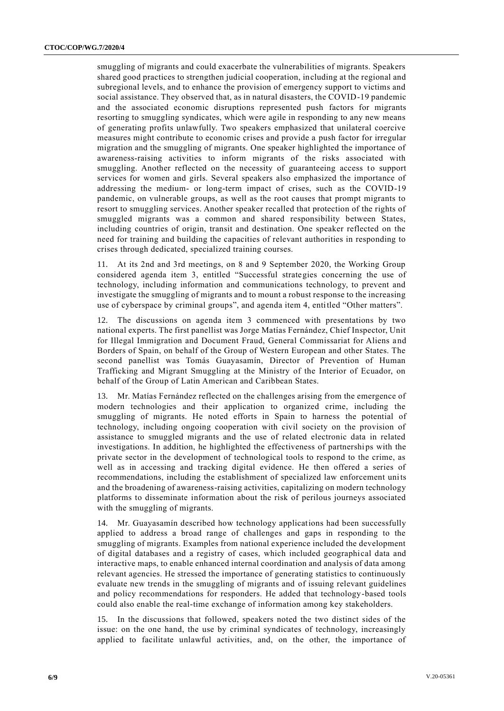smuggling of migrants and could exacerbate the vulnerabilities of migrants. Speakers shared good practices to strengthen judicial cooperation, including at the regional and subregional levels, and to enhance the provision of emergency support to victims and social assistance. They observed that, as in natural disasters, the COVID-19 pandemic and the associated economic disruptions represented push factors for migrants resorting to smuggling syndicates, which were agile in responding to any new means of generating profits unlawfully. Two speakers emphasized that unilateral coercive measures might contribute to economic crises and provide a push factor for irregular migration and the smuggling of migrants. One speaker highlighted the importance of awareness-raising activities to inform migrants of the risks associated with smuggling. Another reflected on the necessity of guaranteeing access to support services for women and girls. Several speakers also emphasized the importance of addressing the medium- or long-term impact of crises, such as the COVID-19 pandemic, on vulnerable groups, as well as the root causes that prompt migrants to resort to smuggling services. Another speaker recalled that protection of the rights of smuggled migrants was a common and shared responsibility between States, including countries of origin, transit and destination. One speaker reflected on the need for training and building the capacities of relevant authorities in responding to crises through dedicated, specialized training courses.

11. At its 2nd and 3rd meetings, on 8 and 9 September 2020, the Working Group considered agenda item 3, entitled "Successful strategies concerning the use of technology, including information and communications technology, to prevent and investigate the smuggling of migrants and to mount a robust response to the increasing use of cyberspace by criminal groups", and agenda item 4, entitled "Other matters".

12. The discussions on agenda item 3 commenced with presentations by two national experts. The first panellist was Jorge Matías Fernández, Chief Inspector, Unit for Illegal Immigration and Document Fraud, General Commissariat for Aliens and Borders of Spain, on behalf of the Group of Western European and other States. The second panellist was Tomás Guayasamín, Director of Prevention of Human Trafficking and Migrant Smuggling at the Ministry of the Interior of Ecuador, on behalf of the Group of Latin American and Caribbean States.

13. Mr. Matías Fernández reflected on the challenges arising from the emergence of modern technologies and their application to organized crime, including the smuggling of migrants. He noted efforts in Spain to harness the potential of technology, including ongoing cooperation with civil society on the provision of assistance to smuggled migrants and the use of related electronic data in related investigations. In addition, he highlighted the effectiveness of partnershi ps with the private sector in the development of technological tools to respond to the crime, as well as in accessing and tracking digital evidence. He then offered a series of recommendations, including the establishment of specialized law enforcement units and the broadening of awareness-raising activities, capitalizing on modern technology platforms to disseminate information about the risk of perilous journeys associated with the smuggling of migrants.

14. Mr. Guayasamín described how technology applications had been successfully applied to address a broad range of challenges and gaps in responding to the smuggling of migrants. Examples from national experience included the development of digital databases and a registry of cases, which included geographical data and interactive maps, to enable enhanced internal coordination and analysis of data among relevant agencies. He stressed the importance of generating statistics to continuously evaluate new trends in the smuggling of migrants and of issuing relevant guidelines and policy recommendations for responders. He added that technology-based tools could also enable the real-time exchange of information among key stakeholders.

15. In the discussions that followed, speakers noted the two distinct sides of the issue: on the one hand, the use by criminal syndicates of technology, increasingly applied to facilitate unlawful activities, and, on the other, the importance of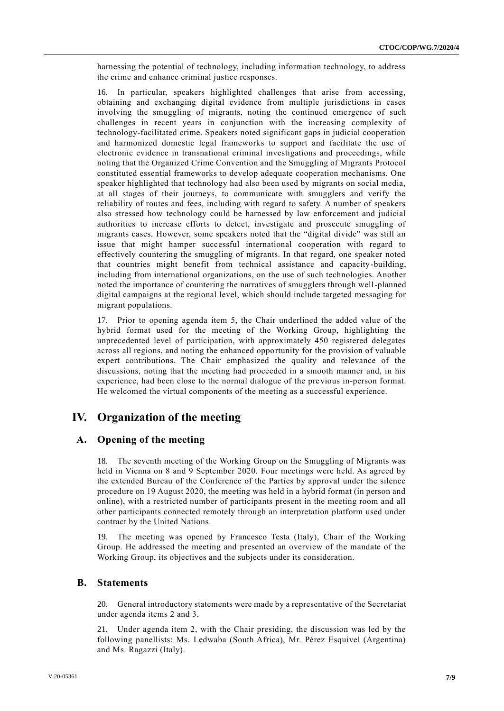harnessing the potential of technology, including information technology, to address the crime and enhance criminal justice responses.

16. In particular, speakers highlighted challenges that arise from accessing, obtaining and exchanging digital evidence from multiple jurisdictions in cases involving the smuggling of migrants, noting the continued emergence of such challenges in recent years in conjunction with the increasing complexity of technology-facilitated crime. Speakers noted significant gaps in judicial cooperation and harmonized domestic legal frameworks to support and facilitate the use of electronic evidence in transnational criminal investigations and proceedings, while noting that the Organized Crime Convention and the Smuggling of Migrants Protocol constituted essential frameworks to develop adequate cooperation mechanisms. One speaker highlighted that technology had also been used by migrants on social media, at all stages of their journeys, to communicate with smugglers and verify the reliability of routes and fees, including with regard to safety. A number of speakers also stressed how technology could be harnessed by law enforcement and judicial authorities to increase efforts to detect, investigate and prosecute smuggling of migrants cases. However, some speakers noted that the "digital divide" was still an issue that might hamper successful international cooperation with regard to effectively countering the smuggling of migrants. In that regard, one speaker noted that countries might benefit from technical assistance and capacity-building, including from international organizations, on the use of such technologies. Another noted the importance of countering the narratives of smugglers through well-planned digital campaigns at the regional level, which should include targeted messaging for migrant populations.

17. Prior to opening agenda item 5, the Chair underlined the added value of the hybrid format used for the meeting of the Working Group, highlighting the unprecedented level of participation, with approximately 450 registered delegates across all regions, and noting the enhanced opportunity for the provision of valuable expert contributions. The Chair emphasized the quality and relevance of the discussions, noting that the meeting had proceeded in a smooth manner and, in his experience, had been close to the normal dialogue of the previous in-person format. He welcomed the virtual components of the meeting as a successful experience.

## **IV. Organization of the meeting**

### **A. Opening of the meeting**

18. The seventh meeting of the Working Group on the Smuggling of Migrants was held in Vienna on 8 and 9 September 2020. Four meetings were held. As agreed by the extended Bureau of the Conference of the Parties by approval under the silence procedure on 19 August 2020, the meeting was held in a hybrid format (in person and online), with a restricted number of participants present in the meeting room and all other participants connected remotely through an interpretation platform used under contract by the United Nations.

19. The meeting was opened by Francesco Testa (Italy), Chair of the Working Group. He addressed the meeting and presented an overview of the mandate of the Working Group, its objectives and the subjects under its consideration.

### **B. Statements**

20. General introductory statements were made by a representative of the Secretariat under agenda items 2 and 3.

21. Under agenda item 2, with the Chair presiding, the discussion was led by the following panellists: Ms. Ledwaba (South Africa), Mr. Pérez Esquivel (Argentina) and Ms. Ragazzi (Italy).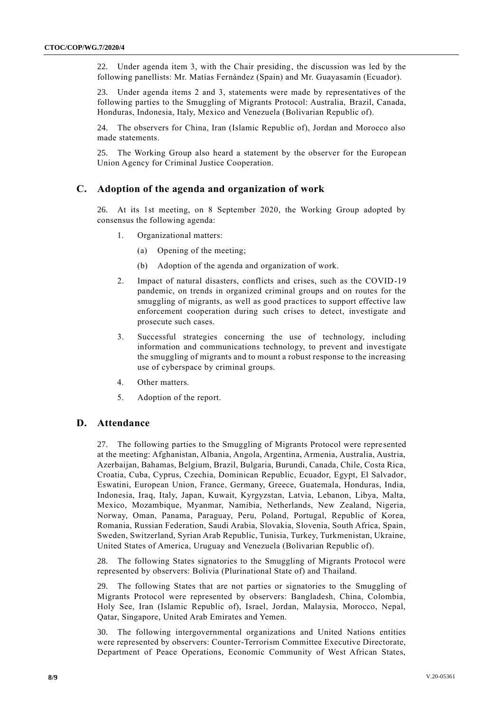22. Under agenda item 3, with the Chair presiding, the discussion was led by the following panellists: Mr. Matías Fernández (Spain) and Mr. Guayasamín (Ecuador).

23. Under agenda items 2 and 3, statements were made by representatives of the following parties to the Smuggling of Migrants Protocol: Australia, Brazil, Canada, Honduras, Indonesia, Italy, Mexico and Venezuela (Bolivarian Republic of).

24. The observers for China, Iran (Islamic Republic of), Jordan and Morocco also made statements.

25. The Working Group also heard a statement by the observer for the Europe an Union Agency for Criminal Justice Cooperation.

### **C. Adoption of the agenda and organization of work**

26. At its 1st meeting, on 8 September 2020, the Working Group adopted by consensus the following agenda:

- 1. Organizational matters:
	- (a) Opening of the meeting;
	- (b) Adoption of the agenda and organization of work.
- 2. Impact of natural disasters, conflicts and crises, such as the COVID-19 pandemic, on trends in organized criminal groups and on routes for the smuggling of migrants, as well as good practices to support effective law enforcement cooperation during such crises to detect, investigate and prosecute such cases.
- 3. Successful strategies concerning the use of technology, including information and communications technology, to prevent and investigate the smuggling of migrants and to mount a robust response to the increasing use of cyberspace by criminal groups.
- 4. Other matters.
- 5. Adoption of the report.

### **D. Attendance**

27. The following parties to the Smuggling of Migrants Protocol were repre sented at the meeting: Afghanistan, Albania, Angola, Argentina, Armenia, Australia, Austria, Azerbaijan, Bahamas, Belgium, Brazil, Bulgaria, Burundi, Canada, Chile, Costa Rica, Croatia, Cuba, Cyprus, Czechia, Dominican Republic, Ecuador, Egypt, El Salvador, Eswatini, European Union, France, Germany, Greece, Guatemala, Honduras, India, Indonesia, Iraq, Italy, Japan, Kuwait, Kyrgyzstan, Latvia, Lebanon, Libya, Malta, Mexico, Mozambique, Myanmar, Namibia, Netherlands, New Zealand, Nigeria, Norway, Oman, Panama, Paraguay, Peru, Poland, Portugal, Republic of Korea, Romania, Russian Federation, Saudi Arabia, Slovakia, Slovenia, South Africa, Spain, Sweden, Switzerland, Syrian Arab Republic, Tunisia, Turkey, Turkmenistan, Ukraine, United States of America, Uruguay and Venezuela (Bolivarian Republic of).

28. The following States signatories to the Smuggling of Migrants Protocol were represented by observers: Bolivia (Plurinational State of) and Thailand.

29. The following States that are not parties or signatories to the Smuggling of Migrants Protocol were represented by observers: Bangladesh, China, Colombia, Holy See, Iran (Islamic Republic of), Israel, Jordan, Malaysia, Morocco, Nepal, Qatar, Singapore, United Arab Emirates and Yemen.

30. The following intergovernmental organizations and United Nations entities were represented by observers: Counter-Terrorism Committee Executive Directorate, Department of Peace Operations, Economic Community of West African States,